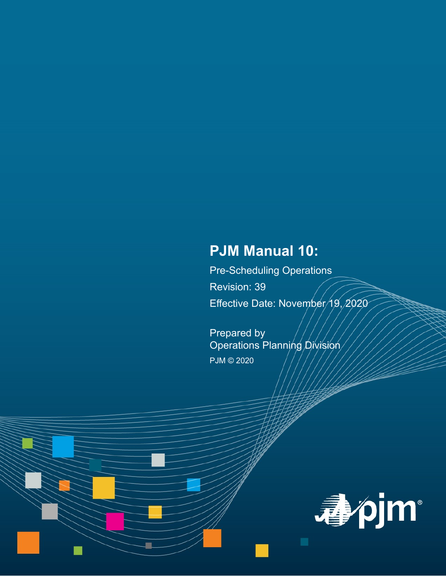# **PJM Manual 10:**

Pre-Scheduling Operations Revision: 39 Effective Date: November/19, 2020

Prepared by Operations Planning Division PJM © 2020

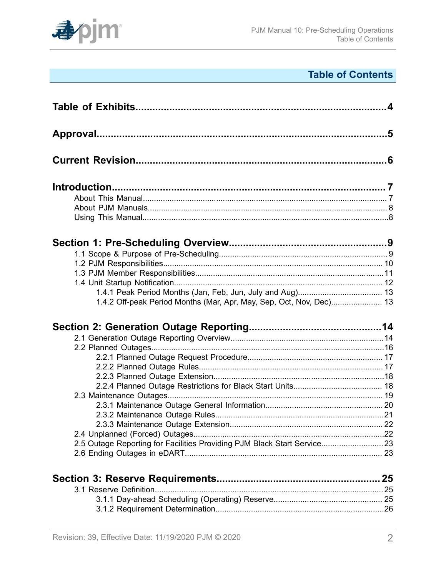

# **Table of Contents**

| 1.4.2 Off-peak Period Months (Mar, Apr, May, Sep, Oct, Nov, Dec) 13     |  |
|-------------------------------------------------------------------------|--|
|                                                                         |  |
|                                                                         |  |
|                                                                         |  |
|                                                                         |  |
|                                                                         |  |
|                                                                         |  |
|                                                                         |  |
|                                                                         |  |
|                                                                         |  |
|                                                                         |  |
|                                                                         |  |
|                                                                         |  |
|                                                                         |  |
| 2.5 Outage Reporting for Facilities Providing PJM Black Start Service23 |  |
|                                                                         |  |
|                                                                         |  |
|                                                                         |  |
|                                                                         |  |
|                                                                         |  |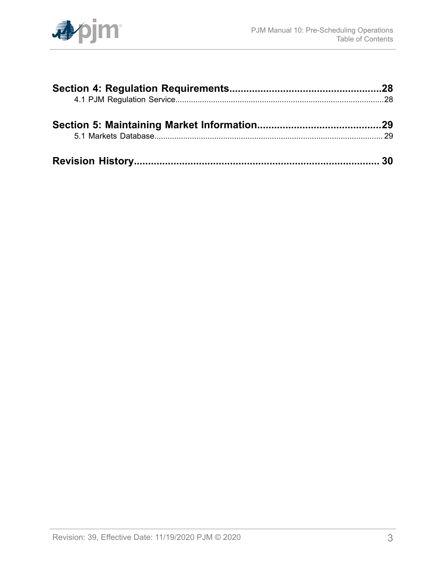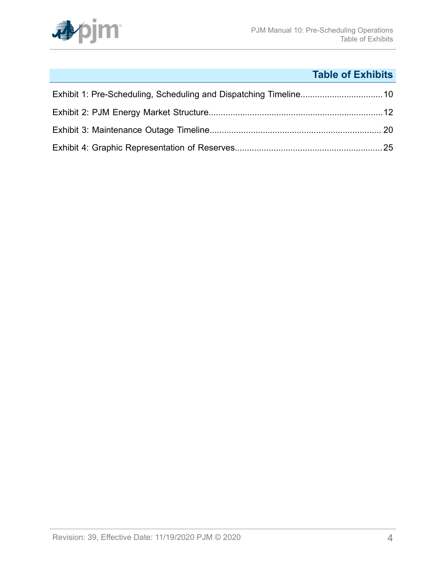

# **Table of Exhibits**

<span id="page-3-0"></span>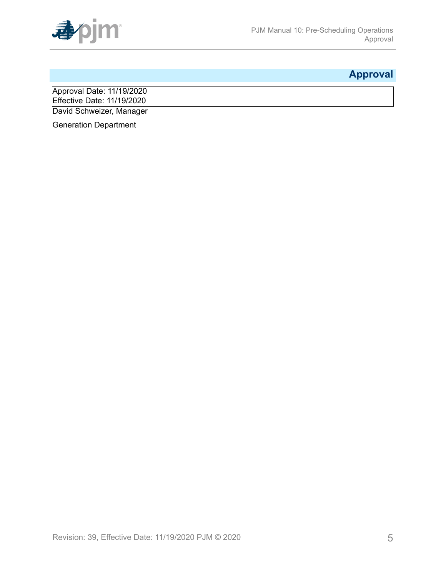

# <span id="page-4-0"></span>**Approval**

Approval Date: 11/19/2020 Effective Date: 11/19/2020 David Schweizer, Manager

Generation Department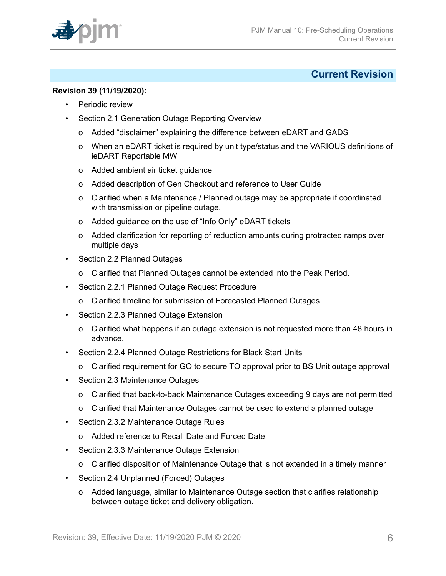

### <span id="page-5-0"></span>**Current Revision**

### **Revision 39 (11/19/2020):**

- Periodic review
- Section 2.1 Generation Outage Reporting Overview
	- o Added "disclaimer" explaining the difference between eDART and GADS
	- o When an eDART ticket is required by unit type/status and the VARIOUS definitions of ieDART Reportable MW
	- o Added ambient air ticket guidance
	- o Added description of Gen Checkout and reference to User Guide
	- o Clarified when a Maintenance / Planned outage may be appropriate if coordinated with transmission or pipeline outage.
	- o Added guidance on the use of "Info Only" eDART tickets
	- o Added clarification for reporting of reduction amounts during protracted ramps over multiple days
- Section 2.2 Planned Outages
	- o Clarified that Planned Outages cannot be extended into the Peak Period.
- Section 2.2.1 Planned Outage Request Procedure
	- o Clarified timeline for submission of Forecasted Planned Outages
- Section 2.2.3 Planned Outage Extension
	- o Clarified what happens if an outage extension is not requested more than 48 hours in advance.
- Section 2.2.4 Planned Outage Restrictions for Black Start Units
	- o Clarified requirement for GO to secure TO approval prior to BS Unit outage approval
- Section 2.3 Maintenance Outages
	- o Clarified that back-to-back Maintenance Outages exceeding 9 days are not permitted
	- o Clarified that Maintenance Outages cannot be used to extend a planned outage
- Section 2.3.2 Maintenance Outage Rules
	- o Added reference to Recall Date and Forced Date
- Section 2.3.3 Maintenance Outage Extension
	- o Clarified disposition of Maintenance Outage that is not extended in a timely manner
- Section 2.4 Unplanned (Forced) Outages
	- o Added language, similar to Maintenance Outage section that clarifies relationship between outage ticket and delivery obligation.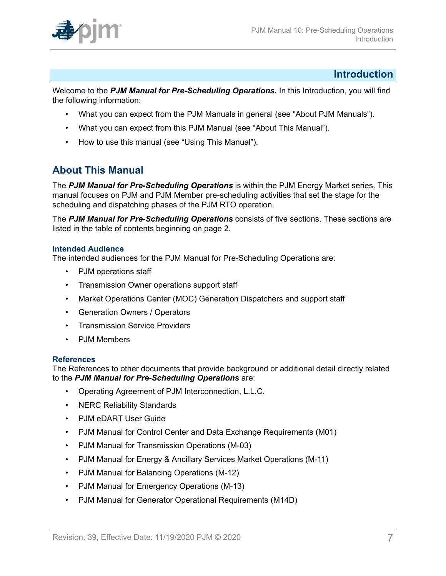

### <span id="page-6-0"></span>**Introduction**

Welcome to the *PJM Manual for Pre-Scheduling Operations.* In this Introduction, you will find the following information:

- What you can expect from the PJM Manuals in general (see "About PJM Manuals").
- What you can expect from this PJM Manual (see "About This Manual").
- How to use this manual (see "Using This Manual").

# <span id="page-6-1"></span>**About This Manual**

The *PJM Manual for Pre-Scheduling Operations* is within the PJM Energy Market series. This manual focuses on PJM and PJM Member pre-scheduling activities that set the stage for the scheduling and dispatching phases of the PJM RTO operation.

The *PJM Manual for Pre-Scheduling Operations* consists of five sections. These sections are listed in the table of contents beginning on page 2.

### **Intended Audience**

The intended audiences for the PJM Manual for Pre-Scheduling Operations are:

- PJM operations staff
- Transmission Owner operations support staff
- Market Operations Center (MOC) Generation Dispatchers and support staff
- Generation Owners / Operators
- Transmission Service Providers
- PJM Members

#### **References**

The References to other documents that provide background or additional detail directly related to the *PJM Manual for Pre-Scheduling Operations* are:

- Operating Agreement of PJM Interconnection, L.L.C.
- NERC Reliability Standards
- PJM eDART User Guide
- PJM Manual for Control Center and Data Exchange Requirements (M01)
- PJM Manual for Transmission Operations (M-03)
- PJM Manual for Energy & Ancillary Services Market Operations (M-11)
- PJM Manual for Balancing Operations (M-12)
- PJM Manual for Emergency Operations (M-13)
- PJM Manual for Generator Operational Requirements (M14D)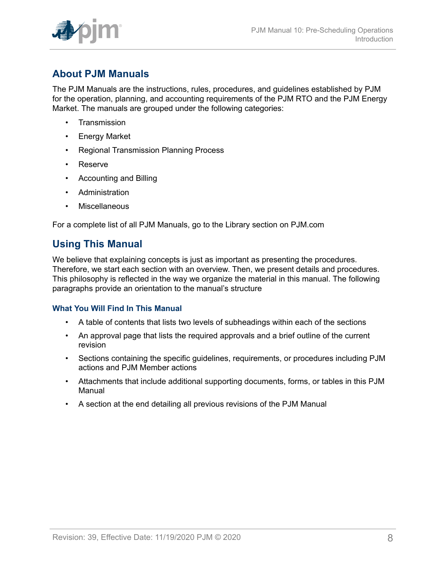

# <span id="page-7-0"></span>**About PJM Manuals**

The PJM Manuals are the instructions, rules, procedures, and guidelines established by PJM for the operation, planning, and accounting requirements of the PJM RTO and the PJM Energy Market. The manuals are grouped under the following categories:

- **Transmission**
- Energy Market
- Regional Transmission Planning Process
- Reserve
- Accounting and Billing
- Administration
- Miscellaneous

For a complete list of all PJM Manuals, go to the Library section on PJM.com

# <span id="page-7-1"></span>**Using This Manual**

We believe that explaining concepts is just as important as presenting the procedures. Therefore, we start each section with an overview. Then, we present details and procedures. This philosophy is reflected in the way we organize the material in this manual. The following paragraphs provide an orientation to the manual's structure

### **What You Will Find In This Manual**

- A table of contents that lists two levels of subheadings within each of the sections
- An approval page that lists the required approvals and a brief outline of the current revision
- Sections containing the specific guidelines, requirements, or procedures including PJM actions and PJM Member actions
- Attachments that include additional supporting documents, forms, or tables in this PJM Manual
- A section at the end detailing all previous revisions of the PJM Manual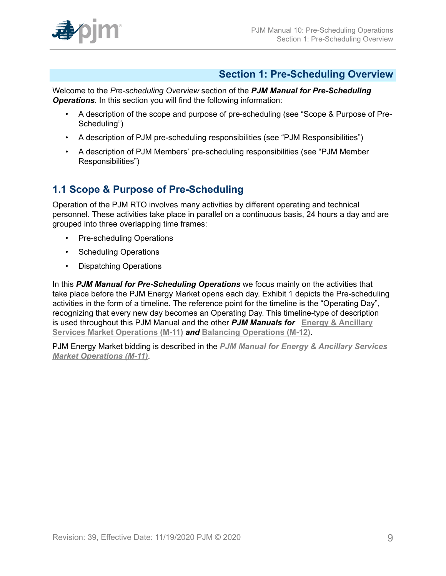

# <span id="page-8-0"></span>**Section 1: Pre-Scheduling Overview**

Welcome to the *Pre-scheduling Overview* section of the *PJM Manual for Pre-Scheduling Operations*. In this section you will find the following information:

- A description of the scope and purpose of pre-scheduling (see "Scope & Purpose of Pre-Scheduling")
- A description of PJM pre-scheduling responsibilities (see "PJM Responsibilities")
- A description of PJM Members' pre-scheduling responsibilities (see "PJM Member Responsibilities")

# <span id="page-8-1"></span>**1.1 Scope & Purpose of Pre-Scheduling**

Operation of the PJM RTO involves many activities by different operating and technical personnel. These activities take place in parallel on a continuous basis, 24 hours a day and are grouped into three overlapping time frames:

- Pre-scheduling Operations
- Scheduling Operations
- Dispatching Operations

In this *PJM Manual for Pre-Scheduling Operations* we focus mainly on the activities that take place before the PJM Energy Market opens each day. Exhibit 1 depicts the Pre-scheduling activities in the form of a timeline. The reference point for the timeline is the "Operating Day", recognizing that every new day becomes an Operating Day. This timeline-type of description is used throughout this PJM Manual and the other *PJM Manuals for* **[Energy & Ancillary](http://pjm.com/~/media/documents/manuals/m11.ashx) Services Market [Operations](http://pjm.com/~/media/documents/manuals/m11.ashx) (M-11)** *and* **[Balancing Operations \(M-12\)](http://pjm.com/~/media/documents/manuals/m12.ashx)**.

PJM Energy Market bidding is described in the *[PJM Manual for Energy & Ancillary Services](http://pjm.com/~/media/documents/manuals/m11.ashx) Market [Operations](http://pjm.com/~/media/documents/manuals/m11.ashx) (M-11)*.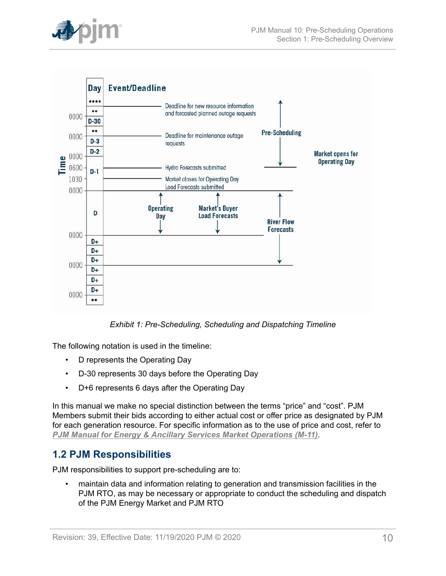

<span id="page-9-1"></span>

*Exhibit 1: Pre-Scheduling, Scheduling and Dispatching Timeline*

The following notation is used in the timeline:

- D represents the Operating Day
- D-30 represents 30 days before the Operating Day
- D+6 represents 6 days after the Operating Day

In this manual we make no special distinction between the terms "price" and "cost". PJM Members submit their bids according to either actual cost or offer price as designated by PJM for each generation resource. For specific information as to the use of price and cost, refer to *PJM Manual for Energy & Ancillary Services Market [Operations](http://pjm.com/~/media/documents/manuals/m11.ashx) (M-11)*.

# <span id="page-9-0"></span>**1.2 PJM Responsibilities**

PJM responsibilities to support pre-scheduling are to:

• maintain data and information relating to generation and transmission facilities in the PJM RTO, as may be necessary or appropriate to conduct the scheduling and dispatch of the PJM Energy Market and PJM RTO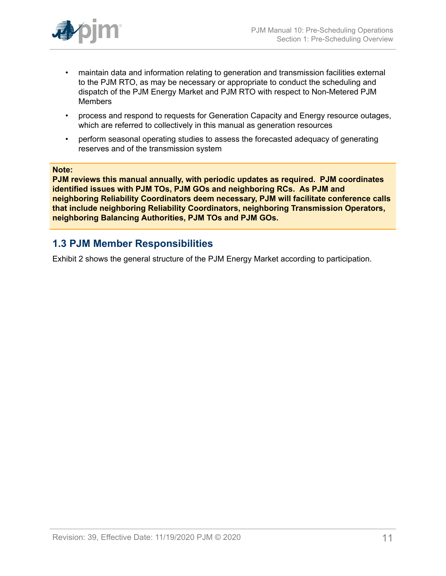

- maintain data and information relating to generation and transmission facilities external to the PJM RTO, as may be necessary or appropriate to conduct the scheduling and dispatch of the PJM Energy Market and PJM RTO with respect to Non-Metered PJM Members
- process and respond to requests for Generation Capacity and Energy resource outages, which are referred to collectively in this manual as generation resources
- perform seasonal operating studies to assess the forecasted adequacy of generating reserves and of the transmission system

#### **Note:**

**PJM reviews this manual annually, with periodic updates as required. PJM coordinates identified issues with PJM TOs, PJM GOs and neighboring RCs. As PJM and neighboring Reliability Coordinators deem necessary, PJM will facilitate conference calls that include neighboring Reliability Coordinators, neighboring Transmission Operators, neighboring Balancing Authorities, PJM TOs and PJM GOs.**

### <span id="page-10-0"></span>**1.3 PJM Member Responsibilities**

Exhibit 2 shows the general structure of the PJM Energy Market according to participation.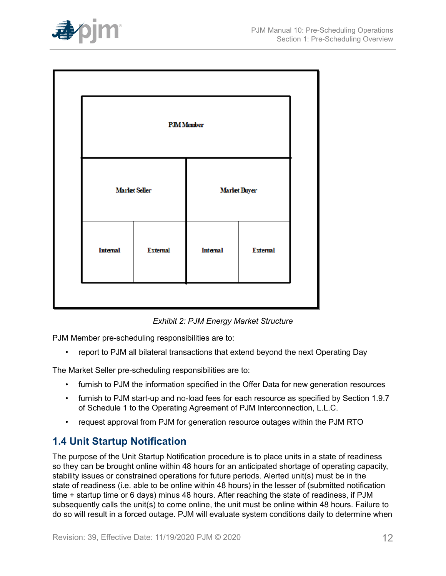

<span id="page-11-1"></span>

| <b>PJM</b> Member    |                 |                     |                 |  |
|----------------------|-----------------|---------------------|-----------------|--|
| <b>Marlet Seller</b> |                 | <b>Marlet Buyer</b> |                 |  |
| Internal             | <b>External</b> | Internal            | <b>External</b> |  |
|                      |                 |                     |                 |  |

*Exhibit 2: PJM Energy Market Structure*

PJM Member pre-scheduling responsibilities are to:

• report to PJM all bilateral transactions that extend beyond the next Operating Day

The Market Seller pre-scheduling responsibilities are to:

- furnish to PJM the information specified in the Offer Data for new generation resources
- furnish to PJM start-up and no-load fees for each resource as specified by Section 1.9.7 of Schedule 1 to the Operating Agreement of PJM Interconnection, L.L.C.
- request approval from PJM for generation resource outages within the PJM RTO

# <span id="page-11-0"></span>**1.4 Unit Startup Notification**

The purpose of the Unit Startup Notification procedure is to place units in a state of readiness so they can be brought online within 48 hours for an anticipated shortage of operating capacity, stability issues or constrained operations for future periods. Alerted unit(s) must be in the state of readiness (i.e. able to be online within 48 hours) in the lesser of (submitted notification time + startup time or 6 days) minus 48 hours. After reaching the state of readiness, if PJM subsequently calls the unit(s) to come online, the unit must be online within 48 hours. Failure to do so will result in a forced outage. PJM will evaluate system conditions daily to determine when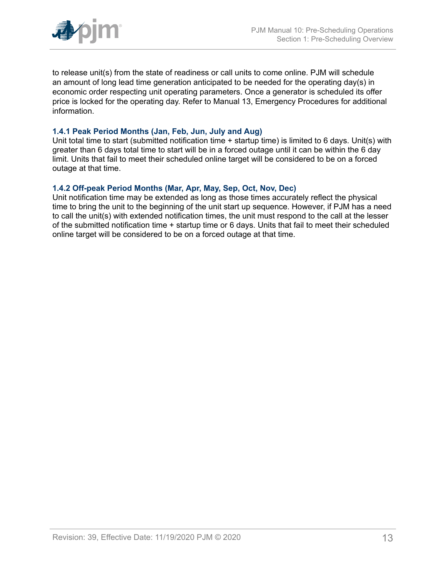

to release unit(s) from the state of readiness or call units to come online. PJM will schedule an amount of long lead time generation anticipated to be needed for the operating day(s) in economic order respecting unit operating parameters. Once a generator is scheduled its offer price is locked for the operating day. Refer to Manual 13, Emergency Procedures for additional information.

### <span id="page-12-0"></span>**1.4.1 Peak Period Months (Jan, Feb, Jun, July and Aug)**

Unit total time to start (submitted notification time + startup time) is limited to 6 days. Unit(s) with greater than 6 days total time to start will be in a forced outage until it can be within the 6 day limit. Units that fail to meet their scheduled online target will be considered to be on a forced outage at that time.

### <span id="page-12-1"></span>**1.4.2 Off-peak Period Months (Mar, Apr, May, Sep, Oct, Nov, Dec)**

Unit notification time may be extended as long as those times accurately reflect the physical time to bring the unit to the beginning of the unit start up sequence. However, if PJM has a need to call the unit(s) with extended notification times, the unit must respond to the call at the lesser of the submitted notification time + startup time or 6 days. Units that fail to meet their scheduled online target will be considered to be on a forced outage at that time.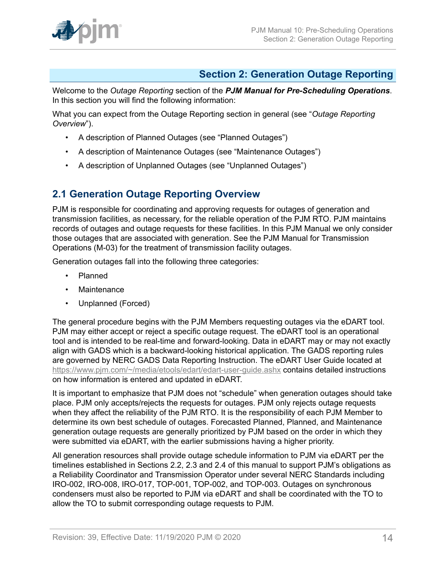

# <span id="page-13-0"></span>**Section 2: Generation Outage Reporting**

Welcome to the *Outage Reporting* section of the *PJM Manual for Pre-Scheduling Operations*. In this section you will find the following information:

What you can expect from the Outage Reporting section in general (see "*Outage Reporting Overview*").

- A description of Planned Outages (see "Planned Outages")
- A description of Maintenance Outages (see "Maintenance Outages")
- A description of Unplanned Outages (see "Unplanned Outages")

# <span id="page-13-1"></span>**2.1 Generation Outage Reporting Overview**

PJM is responsible for coordinating and approving requests for outages of generation and transmission facilities, as necessary, for the reliable operation of the PJM RTO. PJM maintains records of outages and outage requests for these facilities. In this PJM Manual we only consider those outages that are associated with generation. See the PJM Manual for Transmission Operations (M-03) for the treatment of transmission facility outages.

Generation outages fall into the following three categories:

- Planned
- Maintenance
- Unplanned (Forced)

The general procedure begins with the PJM Members requesting outages via the eDART tool. PJM may either accept or reject a specific outage request. The eDART tool is an operational tool and is intended to be real-time and forward-looking. Data in eDART may or may not exactly align with GADS which is a backward-looking historical application. The GADS reporting rules are governed by NERC GADS Data Reporting Instruction. The eDART User Guide located at <https://www.pjm.com/~/media/etools/edart/edart-user-guide.ashx>contains detailed instructions on how information is entered and updated in eDART.

It is important to emphasize that PJM does not "schedule" when generation outages should take place. PJM only accepts/rejects the requests for outages. PJM only rejects outage requests when they affect the reliability of the PJM RTO. It is the responsibility of each PJM Member to determine its own best schedule of outages. Forecasted Planned, Planned, and Maintenance generation outage requests are generally prioritized by PJM based on the order in which they were submitted via eDART, with the earlier submissions having a higher priority.

All generation resources shall provide outage schedule information to PJM via eDART per the timelines established in Sections 2.2, 2.3 and 2.4 of this manual to support PJM's obligations as a Reliability Coordinator and Transmission Operator under several NERC Standards including IRO-002, IRO-008, IRO-017, TOP-001, TOP-002, and TOP-003. Outages on synchronous condensers must also be reported to PJM via eDART and shall be coordinated with the TO to allow the TO to submit corresponding outage requests to PJM.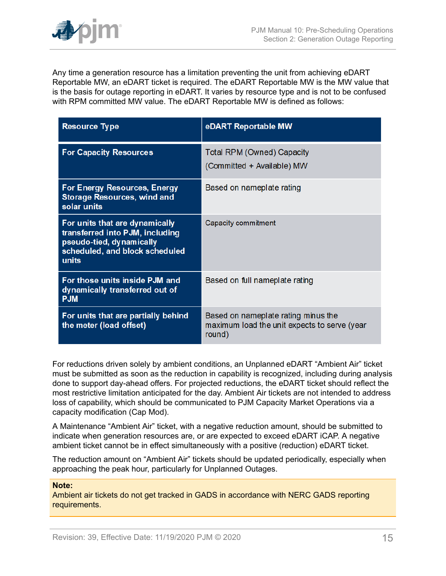

Any time a generation resource has a limitation preventing the unit from achieving eDART Reportable MW, an eDART ticket is required. The eDART Reportable MW is the MW value that is the basis for outage reporting in eDART. It varies by resource type and is not to be confused with RPM committed MW value. The eDART Reportable MW is defined as follows:

| <b>Resource Type</b>                                                                                                                     | eDART Reportable MW                                                                           |
|------------------------------------------------------------------------------------------------------------------------------------------|-----------------------------------------------------------------------------------------------|
| <b>For Capacity Resources</b>                                                                                                            | Total RPM (Owned) Capacity<br>(Committed + Available) MW                                      |
| For Energy Resources, Energy<br><b>Storage Resources, wind and</b><br>solar units                                                        | Based on nameplate rating                                                                     |
| For units that are dynamically<br>transferred into PJM, including<br>pseudo-tied, dynamically<br>scheduled, and block scheduled<br>units | Capacity commitment                                                                           |
| For those units inside PJM and<br>dynamically transferred out of<br><b>PJM</b>                                                           | Based on full nameplate rating                                                                |
| For units that are partially behind<br>the meter (load offset)                                                                           | Based on nameplate rating minus the<br>maximum load the unit expects to serve (year<br>round) |

For reductions driven solely by ambient conditions, an Unplanned eDART "Ambient Air" ticket must be submitted as soon as the reduction in capability is recognized, including during analysis done to support day-ahead offers. For projected reductions, the eDART ticket should reflect the most restrictive limitation anticipated for the day. Ambient Air tickets are not intended to address loss of capability, which should be communicated to PJM Capacity Market Operations via a capacity modification (Cap Mod).

A Maintenance "Ambient Air" ticket, with a negative reduction amount, should be submitted to indicate when generation resources are, or are expected to exceed eDART iCAP. A negative ambient ticket cannot be in effect simultaneously with a positive (reduction) eDART ticket.

The reduction amount on "Ambient Air" tickets should be updated periodically, especially when approaching the peak hour, particularly for Unplanned Outages.

#### **Note:**

Ambient air tickets do not get tracked in GADS in accordance with NERC GADS reporting requirements.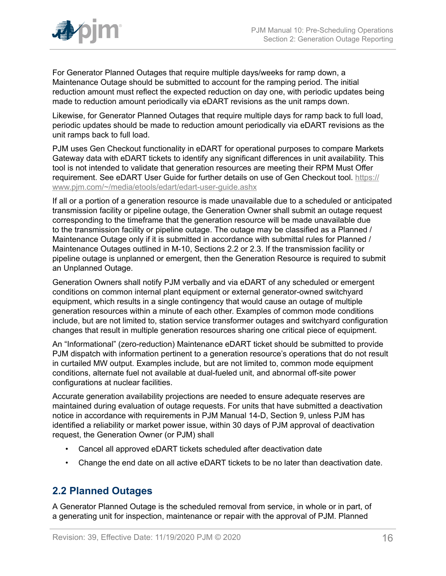

For Generator Planned Outages that require multiple days/weeks for ramp down, a Maintenance Outage should be submitted to account for the ramping period. The initial reduction amount must reflect the expected reduction on day one, with periodic updates being made to reduction amount periodically via eDART revisions as the unit ramps down.

Likewise, for Generator Planned Outages that require multiple days for ramp back to full load, periodic updates should be made to reduction amount periodically via eDART revisions as the unit ramps back to full load.

PJM uses Gen Checkout functionality in eDART for operational purposes to compare Markets Gateway data with eDART tickets to identify any significant differences in unit availability. This tool is not intended to validate that generation resources are meeting their RPM Must Offer requirement. See eDART User Guide for further details on use of Gen Checkout tool. [https://](https://www.pjm.com/~/media/etools/edart/edart-user-guide.ashx) [www.pjm.com/~/media/etools/edart/edart-user-guide.ashx](https://www.pjm.com/~/media/etools/edart/edart-user-guide.ashx)

If all or a portion of a generation resource is made unavailable due to a scheduled or anticipated transmission facility or pipeline outage, the Generation Owner shall submit an outage request corresponding to the timeframe that the generation resource will be made unavailable due to the transmission facility or pipeline outage. The outage may be classified as a Planned / Maintenance Outage only if it is submitted in accordance with submittal rules for Planned / Maintenance Outages outlined in M-10, Sections 2.2 or 2.3. If the transmission facility or pipeline outage is unplanned or emergent, then the Generation Resource is required to submit an Unplanned Outage.

Generation Owners shall notify PJM verbally and via eDART of any scheduled or emergent conditions on common internal plant equipment or external generator-owned switchyard equipment, which results in a single contingency that would cause an outage of multiple generation resources within a minute of each other. Examples of common mode conditions include, but are not limited to, station service transformer outages and switchyard configuration changes that result in multiple generation resources sharing one critical piece of equipment.

An "Informational" (zero-reduction) Maintenance eDART ticket should be submitted to provide PJM dispatch with information pertinent to a generation resource's operations that do not result in curtailed MW output. Examples include, but are not limited to, common mode equipment conditions, alternate fuel not available at dual-fueled unit, and abnormal off-site power configurations at nuclear facilities.

Accurate generation availability projections are needed to ensure adequate reserves are maintained during evaluation of outage requests. For units that have submitted a deactivation notice in accordance with requirements in PJM Manual 14-D, Section 9, unless PJM has identified a reliability or market power issue, within 30 days of PJM approval of deactivation request, the Generation Owner (or PJM) shall

- Cancel all approved eDART tickets scheduled after deactivation date
- Change the end date on all active eDART tickets to be no later than deactivation date.

# <span id="page-15-0"></span>**2.2 Planned Outages**

A Generator Planned Outage is the scheduled removal from service, in whole or in part, of a generating unit for inspection, maintenance or repair with the approval of PJM. Planned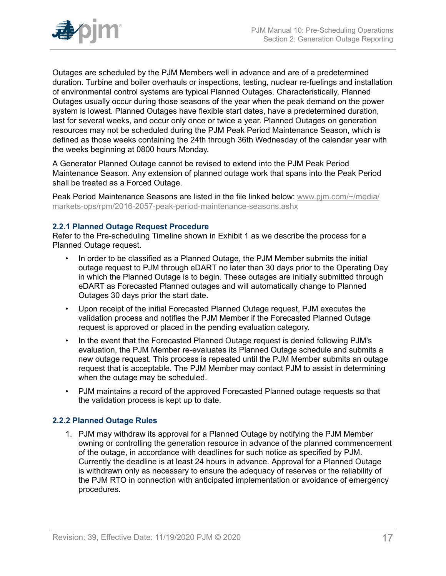

Outages are scheduled by the PJM Members well in advance and are of a predetermined duration. Turbine and boiler overhauls or inspections, testing, nuclear re-fuelings and installation of environmental control systems are typical Planned Outages. Characteristically, Planned Outages usually occur during those seasons of the year when the peak demand on the power system is lowest. Planned Outages have flexible start dates, have a predetermined duration, last for several weeks, and occur only once or twice a year. Planned Outages on generation resources may not be scheduled during the PJM Peak Period Maintenance Season, which is defined as those weeks containing the 24th through 36th Wednesday of the calendar year with the weeks beginning at 0800 hours Monday.

A Generator Planned Outage cannot be revised to extend into the PJM Peak Period Maintenance Season. Any extension of planned outage work that spans into the Peak Period shall be treated as a Forced Outage.

Peak Period Maintenance Seasons are listed in the file linked below: [www.pjm.com/~/media/](http://www.pjm.com/~/media/markets-ops/rpm/2016-2057-peak-period-maintenance-seasons.ashx) [markets-ops/rpm/2016-2057-peak-period-maintenance-seasons.ashx](http://www.pjm.com/~/media/markets-ops/rpm/2016-2057-peak-period-maintenance-seasons.ashx)

### <span id="page-16-0"></span>**2.2.1 Planned Outage Request Procedure**

Refer to the Pre-scheduling Timeline shown in Exhibit 1 as we describe the process for a Planned Outage request.

- In order to be classified as a Planned Outage, the PJM Member submits the initial outage request to PJM through eDART no later than 30 days prior to the Operating Day in which the Planned Outage is to begin. These outages are initially submitted through eDART as Forecasted Planned outages and will automatically change to Planned Outages 30 days prior the start date.
- Upon receipt of the initial Forecasted Planned Outage request, PJM executes the validation process and notifies the PJM Member if the Forecasted Planned Outage request is approved or placed in the pending evaluation category.
- In the event that the Forecasted Planned Outage request is denied following PJM's evaluation, the PJM Member re-evaluates its Planned Outage schedule and submits a new outage request. This process is repeated until the PJM Member submits an outage request that is acceptable. The PJM Member may contact PJM to assist in determining when the outage may be scheduled.
- PJM maintains a record of the approved Forecasted Planned outage requests so that the validation process is kept up to date.

### <span id="page-16-1"></span>**2.2.2 Planned Outage Rules**

1. PJM may withdraw its approval for a Planned Outage by notifying the PJM Member owning or controlling the generation resource in advance of the planned commencement of the outage, in accordance with deadlines for such notice as specified by PJM. Currently the deadline is at least 24 hours in advance. Approval for a Planned Outage is withdrawn only as necessary to ensure the adequacy of reserves or the reliability of the PJM RTO in connection with anticipated implementation or avoidance of emergency procedures.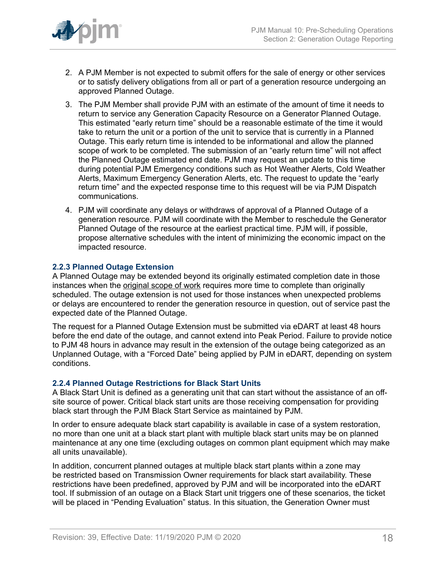

- 2. A PJM Member is not expected to submit offers for the sale of energy or other services or to satisfy delivery obligations from all or part of a generation resource undergoing an approved Planned Outage.
- 3. The PJM Member shall provide PJM with an estimate of the amount of time it needs to return to service any Generation Capacity Resource on a Generator Planned Outage. This estimated "early return time" should be a reasonable estimate of the time it would take to return the unit or a portion of the unit to service that is currently in a Planned Outage. This early return time is intended to be informational and allow the planned scope of work to be completed. The submission of an "early return time" will not affect the Planned Outage estimated end date. PJM may request an update to this time during potential PJM Emergency conditions such as Hot Weather Alerts, Cold Weather Alerts, Maximum Emergency Generation Alerts, etc. The request to update the "early return time" and the expected response time to this request will be via PJM Dispatch communications.
- 4. PJM will coordinate any delays or withdraws of approval of a Planned Outage of a generation resource. PJM will coordinate with the Member to reschedule the Generator Planned Outage of the resource at the earliest practical time. PJM will, if possible, propose alternative schedules with the intent of minimizing the economic impact on the impacted resource.

### <span id="page-17-0"></span>**2.2.3 Planned Outage Extension**

A Planned Outage may be extended beyond its originally estimated completion date in those instances when the original scope of work requires more time to complete than originally scheduled. The outage extension is not used for those instances when unexpected problems or delays are encountered to render the generation resource in question, out of service past the expected date of the Planned Outage.

The request for a Planned Outage Extension must be submitted via eDART at least 48 hours before the end date of the outage, and cannot extend into Peak Period. Failure to provide notice to PJM 48 hours in advance may result in the extension of the outage being categorized as an Unplanned Outage, with a "Forced Date" being applied by PJM in eDART, depending on system conditions.

#### <span id="page-17-1"></span>**2.2.4 Planned Outage Restrictions for Black Start Units**

A Black Start Unit is defined as a generating unit that can start without the assistance of an offsite source of power. Critical black start units are those receiving compensation for providing black start through the PJM Black Start Service as maintained by PJM.

In order to ensure adequate black start capability is available in case of a system restoration, no more than one unit at a black start plant with multiple black start units may be on planned maintenance at any one time (excluding outages on common plant equipment which may make all units unavailable).

In addition, concurrent planned outages at multiple black start plants within a zone may be restricted based on Transmission Owner requirements for black start availability. These restrictions have been predefined, approved by PJM and will be incorporated into the eDART tool. If submission of an outage on a Black Start unit triggers one of these scenarios, the ticket will be placed in "Pending Evaluation" status. In this situation, the Generation Owner must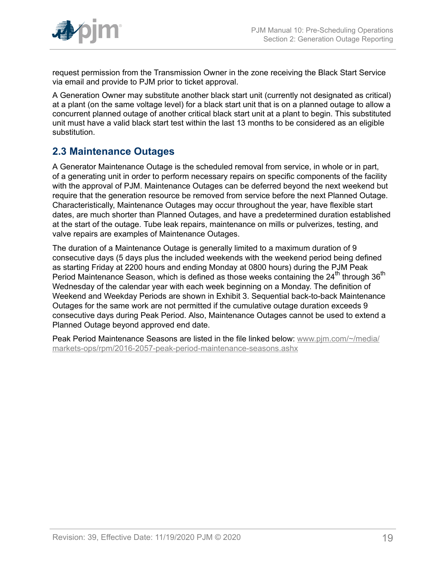

request permission from the Transmission Owner in the zone receiving the Black Start Service via email and provide to PJM prior to ticket approval.

A Generation Owner may substitute another black start unit (currently not designated as critical) at a plant (on the same voltage level) for a black start unit that is on a planned outage to allow a concurrent planned outage of another critical black start unit at a plant to begin. This substituted unit must have a valid black start test within the last 13 months to be considered as an eligible substitution.

# <span id="page-18-0"></span>**2.3 Maintenance Outages**

A Generator Maintenance Outage is the scheduled removal from service, in whole or in part, of a generating unit in order to perform necessary repairs on specific components of the facility with the approval of PJM. Maintenance Outages can be deferred beyond the next weekend but require that the generation resource be removed from service before the next Planned Outage. Characteristically, Maintenance Outages may occur throughout the year, have flexible start dates, are much shorter than Planned Outages, and have a predetermined duration established at the start of the outage. Tube leak repairs, maintenance on mills or pulverizes, testing, and valve repairs are examples of Maintenance Outages.

The duration of a Maintenance Outage is generally limited to a maximum duration of 9 consecutive days (5 days plus the included weekends with the weekend period being defined as starting Friday at 2200 hours and ending Monday at 0800 hours) during the PJM Peak Period Maintenance Season, which is defined as those weeks containing the 24<sup>th</sup> through 36<sup>th</sup> Wednesday of the calendar year with each week beginning on a Monday. The definition of Weekend and Weekday Periods are shown in Exhibit 3. Sequential back-to-back Maintenance Outages for the same work are not permitted if the cumulative outage duration exceeds 9 consecutive days during Peak Period. Also, Maintenance Outages cannot be used to extend a Planned Outage beyond approved end date.

Peak Period Maintenance Seasons are listed in the file linked below: [www.pjm.com/~/media/](http://www.pjm.com/~/media/markets-ops/rpm/2016-2057-peak-period-maintenance-seasons.ashx) [markets-ops/rpm/2016-2057-peak-period-maintenance-seasons.ashx](http://www.pjm.com/~/media/markets-ops/rpm/2016-2057-peak-period-maintenance-seasons.ashx)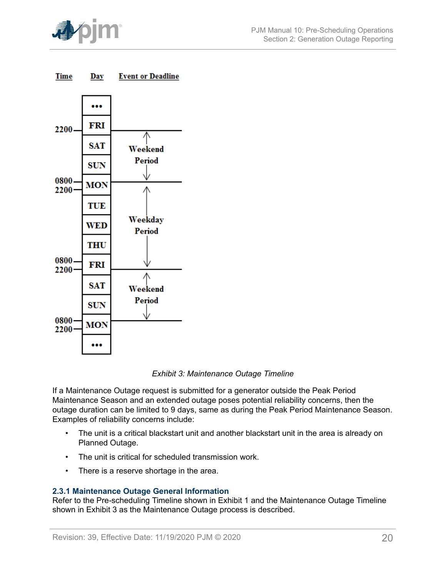

<span id="page-19-1"></span>



*Exhibit 3: Maintenance Outage Timeline*

If a Maintenance Outage request is submitted for a generator outside the Peak Period Maintenance Season and an extended outage poses potential reliability concerns, then the outage duration can be limited to 9 days, same as during the Peak Period Maintenance Season. Examples of reliability concerns include:

- The unit is a critical blackstart unit and another blackstart unit in the area is already on Planned Outage.
- The unit is critical for scheduled transmission work.
- There is a reserve shortage in the area.

### <span id="page-19-0"></span>**2.3.1 Maintenance Outage General Information**

Refer to the Pre-scheduling Timeline shown in Exhibit 1 and the Maintenance Outage Timeline shown in Exhibit 3 as the Maintenance Outage process is described.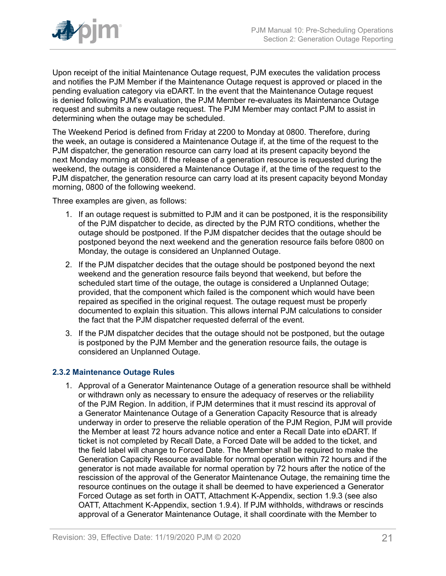

Upon receipt of the initial Maintenance Outage request, PJM executes the validation process and notifies the PJM Member if the Maintenance Outage request is approved or placed in the pending evaluation category via eDART. In the event that the Maintenance Outage request is denied following PJM's evaluation, the PJM Member re-evaluates its Maintenance Outage request and submits a new outage request. The PJM Member may contact PJM to assist in determining when the outage may be scheduled.

The Weekend Period is defined from Friday at 2200 to Monday at 0800. Therefore, during the week, an outage is considered a Maintenance Outage if, at the time of the request to the PJM dispatcher, the generation resource can carry load at its present capacity beyond the next Monday morning at 0800. If the release of a generation resource is requested during the weekend, the outage is considered a Maintenance Outage if, at the time of the request to the PJM dispatcher, the generation resource can carry load at its present capacity beyond Monday morning, 0800 of the following weekend.

Three examples are given, as follows:

- 1. If an outage request is submitted to PJM and it can be postponed, it is the responsibility of the PJM dispatcher to decide, as directed by the PJM RTO conditions, whether the outage should be postponed. If the PJM dispatcher decides that the outage should be postponed beyond the next weekend and the generation resource fails before 0800 on Monday, the outage is considered an Unplanned Outage.
- 2. If the PJM dispatcher decides that the outage should be postponed beyond the next weekend and the generation resource fails beyond that weekend, but before the scheduled start time of the outage, the outage is considered a Unplanned Outage; provided, that the component which failed is the component which would have been repaired as specified in the original request. The outage request must be properly documented to explain this situation. This allows internal PJM calculations to consider the fact that the PJM dispatcher requested deferral of the event.
- 3. If the PJM dispatcher decides that the outage should not be postponed, but the outage is postponed by the PJM Member and the generation resource fails, the outage is considered an Unplanned Outage.

### <span id="page-20-0"></span>**2.3.2 Maintenance Outage Rules**

1. Approval of a Generator Maintenance Outage of a generation resource shall be withheld or withdrawn only as necessary to ensure the adequacy of reserves or the reliability of the PJM Region. In addition, if PJM determines that it must rescind its approval of a Generator Maintenance Outage of a Generation Capacity Resource that is already underway in order to preserve the reliable operation of the PJM Region, PJM will provide the Member at least 72 hours advance notice and enter a Recall Date into eDART. If ticket is not completed by Recall Date, a Forced Date will be added to the ticket, and the field label will change to Forced Date. The Member shall be required to make the Generation Capacity Resource available for normal operation within 72 hours and if the generator is not made available for normal operation by 72 hours after the notice of the rescission of the approval of the Generator Maintenance Outage, the remaining time the resource continues on the outage it shall be deemed to have experienced a Generator Forced Outage as set forth in OATT, Attachment K-Appendix, section 1.9.3 (see also OATT, Attachment K-Appendix, section 1.9.4). If PJM withholds, withdraws or rescinds approval of a Generator Maintenance Outage, it shall coordinate with the Member to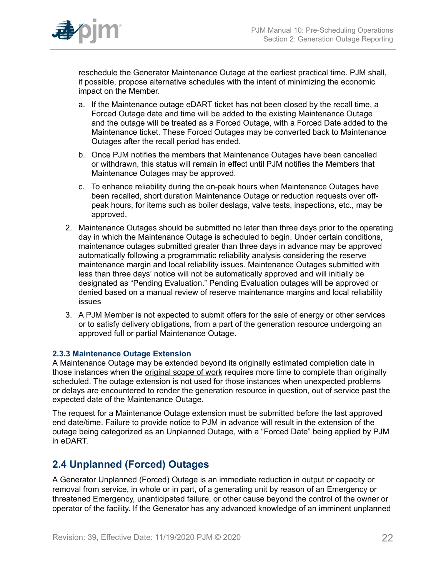

reschedule the Generator Maintenance Outage at the earliest practical time. PJM shall, if possible, propose alternative schedules with the intent of minimizing the economic impact on the Member.

- a. If the Maintenance outage eDART ticket has not been closed by the recall time, a Forced Outage date and time will be added to the existing Maintenance Outage and the outage will be treated as a Forced Outage, with a Forced Date added to the Maintenance ticket. These Forced Outages may be converted back to Maintenance Outages after the recall period has ended.
- b. Once PJM notifies the members that Maintenance Outages have been cancelled or withdrawn, this status will remain in effect until PJM notifies the Members that Maintenance Outages may be approved.
- c. To enhance reliability during the on-peak hours when Maintenance Outages have been recalled, short duration Maintenance Outage or reduction requests over offpeak hours, for items such as boiler deslags, valve tests, inspections, etc., may be approved.
- 2. Maintenance Outages should be submitted no later than three days prior to the operating day in which the Maintenance Outage is scheduled to begin. Under certain conditions, maintenance outages submitted greater than three days in advance may be approved automatically following a programmatic reliability analysis considering the reserve maintenance margin and local reliability issues. Maintenance Outages submitted with less than three days' notice will not be automatically approved and will initially be designated as "Pending Evaluation." Pending Evaluation outages will be approved or denied based on a manual review of reserve maintenance margins and local reliability issues
- 3. A PJM Member is not expected to submit offers for the sale of energy or other services or to satisfy delivery obligations, from a part of the generation resource undergoing an approved full or partial Maintenance Outage.

### <span id="page-21-0"></span>**2.3.3 Maintenance Outage Extension**

A Maintenance Outage may be extended beyond its originally estimated completion date in those instances when the original scope of work requires more time to complete than originally scheduled. The outage extension is not used for those instances when unexpected problems or delays are encountered to render the generation resource in question, out of service past the expected date of the Maintenance Outage.

The request for a Maintenance Outage extension must be submitted before the last approved end date/time. Failure to provide notice to PJM in advance will result in the extension of the outage being categorized as an Unplanned Outage, with a "Forced Date" being applied by PJM in eDART.

# <span id="page-21-1"></span>**2.4 Unplanned (Forced) Outages**

A Generator Unplanned (Forced) Outage is an immediate reduction in output or capacity or removal from service, in whole or in part, of a generating unit by reason of an Emergency or threatened Emergency, unanticipated failure, or other cause beyond the control of the owner or operator of the facility. If the Generator has any advanced knowledge of an imminent unplanned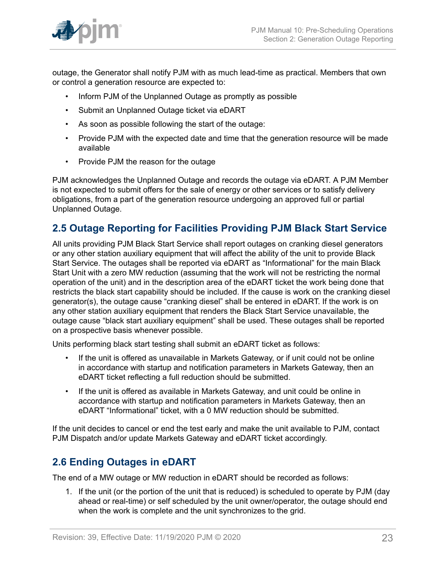

outage, the Generator shall notify PJM with as much lead-time as practical. Members that own or control a generation resource are expected to:

- Inform PJM of the Unplanned Outage as promptly as possible
- Submit an Unplanned Outage ticket via eDART
- As soon as possible following the start of the outage:
- Provide PJM with the expected date and time that the generation resource will be made available
- Provide PJM the reason for the outage

PJM acknowledges the Unplanned Outage and records the outage via eDART. A PJM Member is not expected to submit offers for the sale of energy or other services or to satisfy delivery obligations, from a part of the generation resource undergoing an approved full or partial Unplanned Outage.

# <span id="page-22-0"></span>**2.5 Outage Reporting for Facilities Providing PJM Black Start Service**

All units providing PJM Black Start Service shall report outages on cranking diesel generators or any other station auxiliary equipment that will affect the ability of the unit to provide Black Start Service. The outages shall be reported via eDART as "Informational" for the main Black Start Unit with a zero MW reduction (assuming that the work will not be restricting the normal operation of the unit) and in the description area of the eDART ticket the work being done that restricts the black start capability should be included. If the cause is work on the cranking diesel generator(s), the outage cause "cranking diesel" shall be entered in eDART. If the work is on any other station auxiliary equipment that renders the Black Start Service unavailable, the outage cause "black start auxiliary equipment" shall be used. These outages shall be reported on a prospective basis whenever possible.

Units performing black start testing shall submit an eDART ticket as follows:

- If the unit is offered as unavailable in Markets Gateway, or if unit could not be online in accordance with startup and notification parameters in Markets Gateway, then an eDART ticket reflecting a full reduction should be submitted.
- If the unit is offered as available in Markets Gateway, and unit could be online in accordance with startup and notification parameters in Markets Gateway, then an eDART "Informational" ticket, with a 0 MW reduction should be submitted.

If the unit decides to cancel or end the test early and make the unit available to PJM, contact PJM Dispatch and/or update Markets Gateway and eDART ticket accordingly.

# <span id="page-22-1"></span>**2.6 Ending Outages in eDART**

The end of a MW outage or MW reduction in eDART should be recorded as follows:

1. If the unit (or the portion of the unit that is reduced) is scheduled to operate by PJM (day ahead or real-time) or self scheduled by the unit owner/operator, the outage should end when the work is complete and the unit synchronizes to the grid.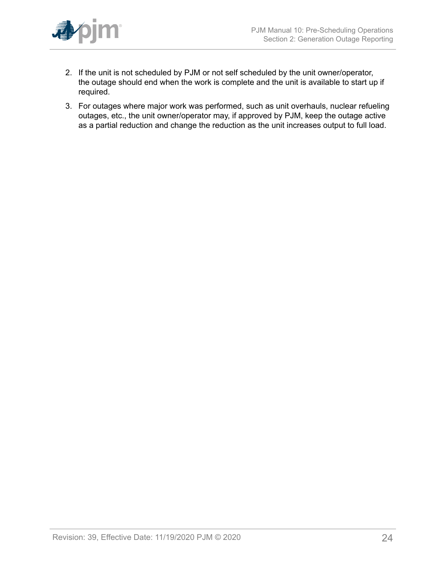

- 2. If the unit is not scheduled by PJM or not self scheduled by the unit owner/operator, the outage should end when the work is complete and the unit is available to start up if required.
- 3. For outages where major work was performed, such as unit overhauls, nuclear refueling outages, etc., the unit owner/operator may, if approved by PJM, keep the outage active as a partial reduction and change the reduction as the unit increases output to full load.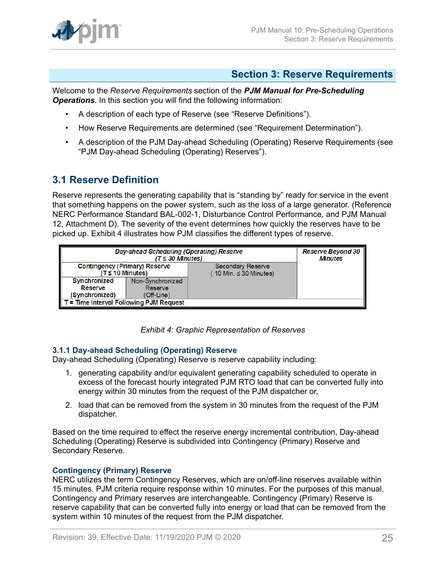

### <span id="page-24-0"></span>**Section 3: Reserve Requirements**

Welcome to the *Reserve Requirements* section of the *PJM Manual for Pre-Scheduling Operations*. In this section you will find the following information:

- A description of each type of Reserve (see "Reserve Definitions").
- How Reserve Requirements are determined (see "Requirement Determination").
- A description of the PJM Day-ahead Scheduling (Operating) Reserve Requirements (see "PJM Day-ahead Scheduling (Operating) Reserves").

# <span id="page-24-1"></span>**3.1 Reserve Definition**

Reserve represents the generating capability that is "standing by" ready for service in the event that something happens on the power system, such as the loss of a large generator. (Reference NERC Performance Standard BAL-002-1, Disturbance Control Performance, and PJM Manual 12, Attachment D). The severity of the event determines how quickly the reserves have to be picked up. Exhibit 4 illustrates how PJM classifies the different types of reserve.

<span id="page-24-3"></span>

| Day-ahead Scheduling (Operating) Reserve | Reserve Beyond 30<br><b>Minutes</b> |                            |  |
|------------------------------------------|-------------------------------------|----------------------------|--|
| Contingency (Primary) Reserve            |                                     | <b>Secondary Reserve</b>   |  |
| $(T \leq 10$ Minutes)                    |                                     | 10 Min. $\leq$ 30 Minutes) |  |
| Synchronized                             | Non-Synchronized                    |                            |  |
| Reserve                                  | Reserve                             |                            |  |
| (Synchronized)<br>(Off-Line)             |                                     |                            |  |
| T = Time Interval Following PJM Request  |                                     |                            |  |

*Exhibit 4: Graphic Representation of Reserves*

### <span id="page-24-2"></span>**3.1.1 Day-ahead Scheduling (Operating) Reserve**

Day-ahead Scheduling (Operating) Reserve is reserve capability including:

- 1. generating capability and/or equivalent generating capability scheduled to operate in excess of the forecast hourly integrated PJM RTO load that can be converted fully into energy within 30 minutes from the request of the PJM dispatcher or,
- 2. load that can be removed from the system in 30 minutes from the request of the PJM dispatcher.

Based on the time required to effect the reserve energy incremental contribution, Day-ahead Scheduling (Operating) Reserve is subdivided into Contingency (Primary) Reserve and Secondary Reserve.

### **Contingency (Primary) Reserve**

NERC utilizes the term Contingency Reserves, which are on/off-line reserves available within 15 minutes. PJM criteria require response within 10 minutes. For the purposes of this manual, Contingency and Primary reserves are interchangeable. Contingency (Primary) Reserve is reserve capability that can be converted fully into energy or load that can be removed from the system within 10 minutes of the request from the PJM dispatcher.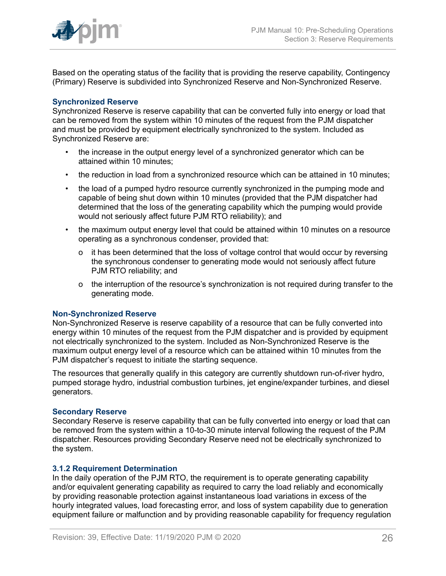

Based on the operating status of the facility that is providing the reserve capability, Contingency (Primary) Reserve is subdivided into Synchronized Reserve and Non-Synchronized Reserve.

### **Synchronized Reserve**

Synchronized Reserve is reserve capability that can be converted fully into energy or load that can be removed from the system within 10 minutes of the request from the PJM dispatcher and must be provided by equipment electrically synchronized to the system. Included as Synchronized Reserve are:

- the increase in the output energy level of a synchronized generator which can be attained within 10 minutes;
- the reduction in load from a synchronized resource which can be attained in 10 minutes;
- the load of a pumped hydro resource currently synchronized in the pumping mode and capable of being shut down within 10 minutes (provided that the PJM dispatcher had determined that the loss of the generating capability which the pumping would provide would not seriously affect future PJM RTO reliability); and
- the maximum output energy level that could be attained within 10 minutes on a resource operating as a synchronous condenser, provided that:
	- o it has been determined that the loss of voltage control that would occur by reversing the synchronous condenser to generating mode would not seriously affect future PJM RTO reliability; and
	- o the interruption of the resource's synchronization is not required during transfer to the generating mode.

#### **Non-Synchronized Reserve**

Non-Synchronized Reserve is reserve capability of a resource that can be fully converted into energy within 10 minutes of the request from the PJM dispatcher and is provided by equipment not electrically synchronized to the system. Included as Non-Synchronized Reserve is the maximum output energy level of a resource which can be attained within 10 minutes from the PJM dispatcher's request to initiate the starting sequence.

The resources that generally qualify in this category are currently shutdown run-of-river hydro, pumped storage hydro, industrial combustion turbines, jet engine/expander turbines, and diesel generators.

#### **Secondary Reserve**

Secondary Reserve is reserve capability that can be fully converted into energy or load that can be removed from the system within a 10-to-30 minute interval following the request of the PJM dispatcher. Resources providing Secondary Reserve need not be electrically synchronized to the system.

### <span id="page-25-0"></span>**3.1.2 Requirement Determination**

In the daily operation of the PJM RTO, the requirement is to operate generating capability and/or equivalent generating capability as required to carry the load reliably and economically by providing reasonable protection against instantaneous load variations in excess of the hourly integrated values, load forecasting error, and loss of system capability due to generation equipment failure or malfunction and by providing reasonable capability for frequency regulation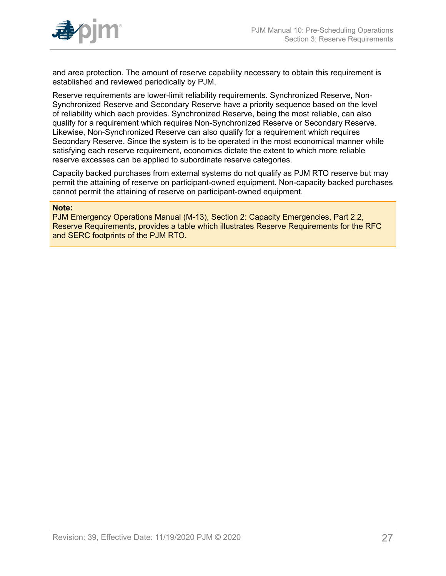

and area protection. The amount of reserve capability necessary to obtain this requirement is established and reviewed periodically by PJM.

Reserve requirements are lower-limit reliability requirements. Synchronized Reserve, Non-Synchronized Reserve and Secondary Reserve have a priority sequence based on the level of reliability which each provides. Synchronized Reserve, being the most reliable, can also qualify for a requirement which requires Non-Synchronized Reserve or Secondary Reserve. Likewise, Non-Synchronized Reserve can also qualify for a requirement which requires Secondary Reserve. Since the system is to be operated in the most economical manner while satisfying each reserve requirement, economics dictate the extent to which more reliable reserve excesses can be applied to subordinate reserve categories.

Capacity backed purchases from external systems do not qualify as PJM RTO reserve but may permit the attaining of reserve on participant-owned equipment. Non-capacity backed purchases cannot permit the attaining of reserve on participant-owned equipment.

#### **Note:**

PJM Emergency Operations Manual (M-13), Section 2: Capacity Emergencies, Part 2.2, Reserve Requirements, provides a table which illustrates Reserve Requirements for the RFC and SERC footprints of the PJM RTO.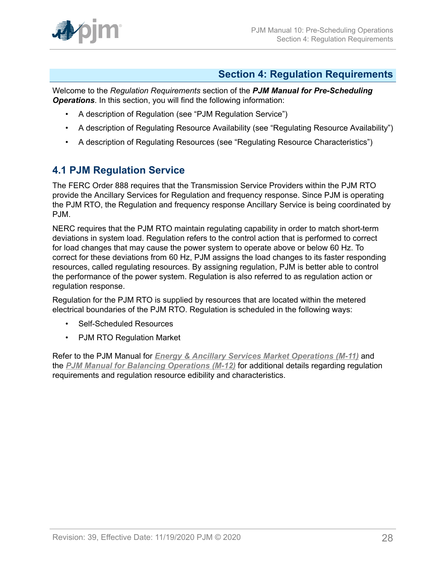

# <span id="page-27-0"></span>**Section 4: Regulation Requirements**

Welcome to the *Regulation Requirements* section of the *PJM Manual for Pre-Scheduling Operations*. In this section, you will find the following information:

- A description of Regulation (see "PJM Regulation Service")
- A description of Regulating Resource Availability (see "Regulating Resource Availability")
- A description of Regulating Resources (see "Regulating Resource Characteristics")

# <span id="page-27-1"></span>**4.1 PJM Regulation Service**

The FERC Order 888 requires that the Transmission Service Providers within the PJM RTO provide the Ancillary Services for Regulation and frequency response. Since PJM is operating the PJM RTO, the Regulation and frequency response Ancillary Service is being coordinated by PJM.

NERC requires that the PJM RTO maintain regulating capability in order to match short-term deviations in system load. Regulation refers to the control action that is performed to correct for load changes that may cause the power system to operate above or below 60 Hz. To correct for these deviations from 60 Hz, PJM assigns the load changes to its faster responding resources, called regulating resources. By assigning regulation, PJM is better able to control the performance of the power system. Regulation is also referred to as regulation action or regulation response.

Regulation for the PJM RTO is supplied by resources that are located within the metered electrical boundaries of the PJM RTO. Regulation is scheduled in the following ways:

- Self-Scheduled Resources
- PJM RTO Regulation Market

Refer to the PJM Manual for *Energy & Ancillary Services Market [Operations](http://pjm.com/~/media/documents/manuals/m11.ashx) (M-11)* and the *[PJM Manual for Balancing Operations \(M-12\)](http://pjm.com/~/media/documents/manuals/m12.ashx)* for additional details regarding regulation requirements and regulation resource edibility and characteristics.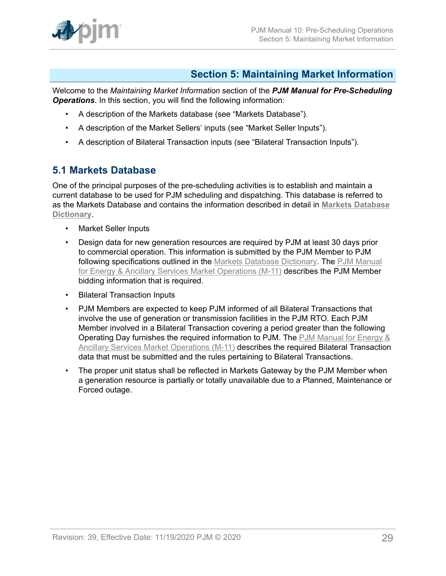

# <span id="page-28-0"></span>**Section 5: Maintaining Market Information**

Welcome to the *Maintaining Market Information* section of the *PJM Manual for Pre-Scheduling Operations*. In this section, you will find the following information:

- A description of the Markets database (see "Markets Database").
- A description of the Market Sellers' inputs (see "Market Seller Inputs").
- A description of Bilateral Transaction inputs (see "Bilateral Transaction Inputs").

### <span id="page-28-1"></span>**5.1 Markets Database**

One of the principal purposes of the pre-scheduling activities is to establish and maintain a current database to be used for PJM scheduling and dispatching. This database is referred to as the Markets Database and contains the information described in detail in **[Markets Database](http://www.pjm.com/~/media/etools/markets-gateway/market-database-data-dictionary.ashx) [Dictionary](http://www.pjm.com/~/media/etools/markets-gateway/market-database-data-dictionary.ashx)**.

- Market Seller Inputs
- Design data for new generation resources are required by PJM at least 30 days prior to commercial operation. This information is submitted by the PJM Member to PJM following specifications outlined in the [Markets Database Dictionary](http://www.pjm.com/markets-and-operations/etools/~/media/etools/emkt/market-database-data-dictionary.ashx). The [PJM Manual](http://pjm.com/~/media/documents/manuals/m11.ashx) for Energy & Ancillary Services Market [Operations](http://pjm.com/~/media/documents/manuals/m11.ashx) (M-11) describes the PJM Member bidding information that is required.
- Bilateral Transaction Inputs
- PJM Members are expected to keep PJM informed of all Bilateral Transactions that involve the use of generation or transmission facilities in the PJM RTO. Each PJM Member involved in a Bilateral Transaction covering a period greater than the following Operating Day furnishes the required information to PJM. The [PJM Manual for Energy &](http://pjm.com/~/media/documents/manuals/m11.ashx) Ancillary Services Market [Operations](http://pjm.com/~/media/documents/manuals/m11.ashx) (M-11) describes the required Bilateral Transaction data that must be submitted and the rules pertaining to Bilateral Transactions.
- The proper unit status shall be reflected in Markets Gateway by the PJM Member when a generation resource is partially or totally unavailable due to a Planned, Maintenance or Forced outage.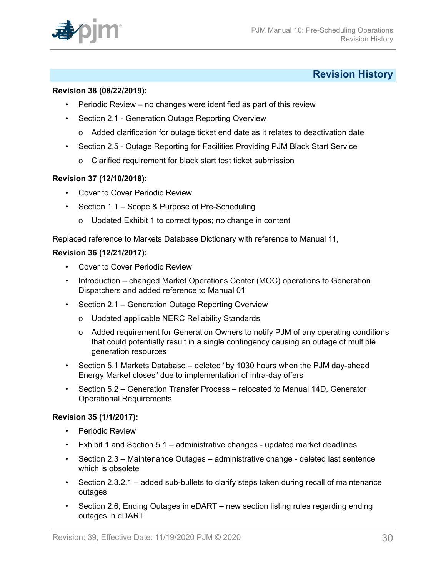

# <span id="page-29-0"></span>**Revision History**

### **Revision 38 (08/22/2019):**

- Periodic Review no changes were identified as part of this review
- Section 2.1 Generation Outage Reporting Overview
	- o Added clarification for outage ticket end date as it relates to deactivation date
- Section 2.5 Outage Reporting for Facilities Providing PJM Black Start Service
	- o Clarified requirement for black start test ticket submission

### **Revision 37 (12/10/2018):**

- Cover to Cover Periodic Review
- Section 1.1 Scope & Purpose of Pre-Scheduling
	- o Updated Exhibit 1 to correct typos; no change in content

Replaced reference to Markets Database Dictionary with reference to Manual 11,

### **Revision 36 (12/21/2017):**

- Cover to Cover Periodic Review
- Introduction changed Market Operations Center (MOC) operations to Generation Dispatchers and added reference to Manual 01
- Section 2.1 Generation Outage Reporting Overview
	- o Updated applicable NERC Reliability Standards
	- o Added requirement for Generation Owners to notify PJM of any operating conditions that could potentially result in a single contingency causing an outage of multiple generation resources
- Section 5.1 Markets Database deleted "by 1030 hours when the PJM day-ahead Energy Market closes" due to implementation of intra-day offers
- Section 5.2 Generation Transfer Process relocated to Manual 14D, Generator Operational Requirements

#### **Revision 35 (1/1/2017):**

- Periodic Review
- Exhibit 1 and Section 5.1 administrative changes updated market deadlines
- Section 2.3 Maintenance Outages administrative change deleted last sentence which is obsolete
- Section 2.3.2.1 added sub-bullets to clarify steps taken during recall of maintenance outages
- Section 2.6, Ending Outages in eDART new section listing rules regarding ending outages in eDART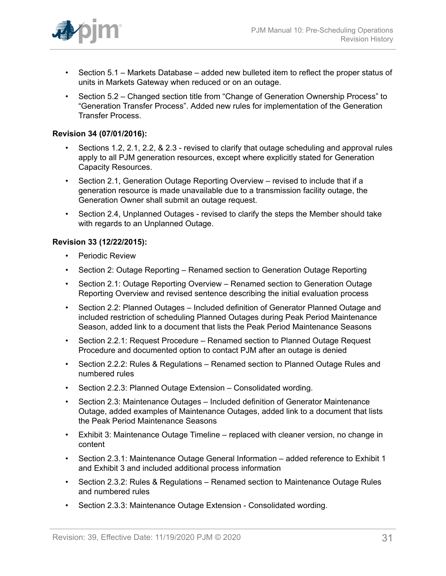

- Section 5.1 Markets Database added new bulleted item to reflect the proper status of units in Markets Gateway when reduced or on an outage.
- Section 5.2 Changed section title from "Change of Generation Ownership Process" to "Generation Transfer Process". Added new rules for implementation of the Generation Transfer Process.

### **Revision 34 (07/01/2016):**

- Sections 1.2, 2.1, 2.2, & 2.3 revised to clarify that outage scheduling and approval rules apply to all PJM generation resources, except where explicitly stated for Generation Capacity Resources.
- Section 2.1, Generation Outage Reporting Overview revised to include that if a generation resource is made unavailable due to a transmission facility outage, the Generation Owner shall submit an outage request.
- Section 2.4, Unplanned Outages revised to clarify the steps the Member should take with regards to an Unplanned Outage.

### **Revision 33 (12/22/2015):**

- Periodic Review
- Section 2: Outage Reporting Renamed section to Generation Outage Reporting
- Section 2.1: Outage Reporting Overview Renamed section to Generation Outage Reporting Overview and revised sentence describing the initial evaluation process
- Section 2.2: Planned Outages Included definition of Generator Planned Outage and included restriction of scheduling Planned Outages during Peak Period Maintenance Season, added link to a document that lists the Peak Period Maintenance Seasons
- Section 2.2.1: Request Procedure Renamed section to Planned Outage Request Procedure and documented option to contact PJM after an outage is denied
- Section 2.2.2: Rules & Regulations Renamed section to Planned Outage Rules and numbered rules
- Section 2.2.3: Planned Outage Extension Consolidated wording.
- Section 2.3: Maintenance Outages Included definition of Generator Maintenance Outage, added examples of Maintenance Outages, added link to a document that lists the Peak Period Maintenance Seasons
- Exhibit 3: Maintenance Outage Timeline replaced with cleaner version, no change in content
- Section 2.3.1: Maintenance Outage General Information added reference to Exhibit 1 and Exhibit 3 and included additional process information
- Section 2.3.2: Rules & Regulations Renamed section to Maintenance Outage Rules and numbered rules
- Section 2.3.3: Maintenance Outage Extension Consolidated wording.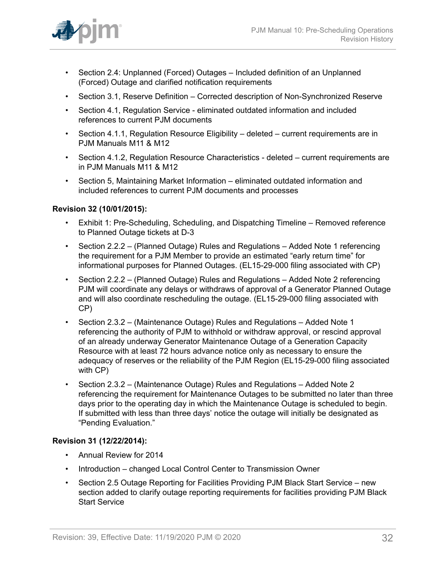

- Section 2.4: Unplanned (Forced) Outages Included definition of an Unplanned (Forced) Outage and clarified notification requirements
- Section 3.1, Reserve Definition Corrected description of Non-Synchronized Reserve
- Section 4.1, Regulation Service eliminated outdated information and included references to current PJM documents
- Section 4.1.1, Regulation Resource Eligibility deleted current reguirements are in PJM Manuals M11 & M12
- Section 4.1.2, Regulation Resource Characteristics deleted current requirements are in PJM Manuals M11 & M12
- Section 5, Maintaining Market Information eliminated outdated information and included references to current PJM documents and processes

### **Revision 32 (10/01/2015):**

- Exhibit 1: Pre-Scheduling, Scheduling, and Dispatching Timeline Removed reference to Planned Outage tickets at D-3
- Section 2.2.2 (Planned Outage) Rules and Regulations Added Note 1 referencing the requirement for a PJM Member to provide an estimated "early return time" for informational purposes for Planned Outages. (EL15-29-000 filing associated with CP)
- Section 2.2.2 (Planned Outage) Rules and Regulations Added Note 2 referencing PJM will coordinate any delays or withdraws of approval of a Generator Planned Outage and will also coordinate rescheduling the outage. (EL15-29-000 filing associated with CP)
- Section 2.3.2 (Maintenance Outage) Rules and Regulations Added Note 1 referencing the authority of PJM to withhold or withdraw approval, or rescind approval of an already underway Generator Maintenance Outage of a Generation Capacity Resource with at least 72 hours advance notice only as necessary to ensure the adequacy of reserves or the reliability of the PJM Region (EL15-29-000 filing associated with CP)
- Section 2.3.2 (Maintenance Outage) Rules and Regulations Added Note 2 referencing the requirement for Maintenance Outages to be submitted no later than three days prior to the operating day in which the Maintenance Outage is scheduled to begin. If submitted with less than three days' notice the outage will initially be designated as "Pending Evaluation."

#### **Revision 31 (12/22/2014):**

- Annual Review for 2014
- Introduction changed Local Control Center to Transmission Owner
- Section 2.5 Outage Reporting for Facilities Providing PJM Black Start Service new section added to clarify outage reporting requirements for facilities providing PJM Black Start Service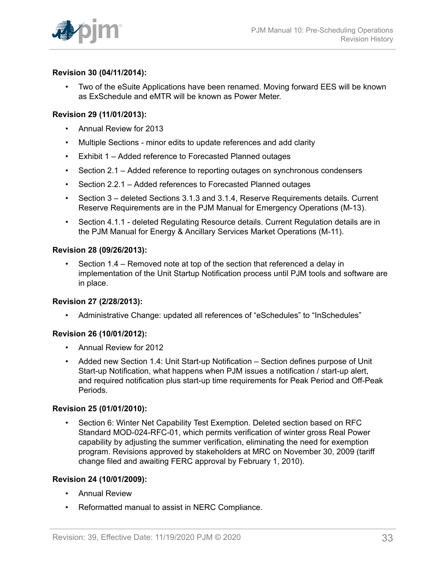

### **Revision 30 (04/11/2014):**

• Two of the eSuite Applications have been renamed. Moving forward EES will be known as ExSchedule and eMTR will be known as Power Meter.

### **Revision 29 (11/01/2013):**

- Annual Review for 2013
- Multiple Sections minor edits to update references and add clarity
- Exhibit 1 Added reference to Forecasted Planned outages
- Section 2.1 Added reference to reporting outages on synchronous condensers
- Section 2.2.1 Added references to Forecasted Planned outages
- Section 3 deleted Sections 3.1.3 and 3.1.4, Reserve Requirements details. Current Reserve Requirements are in the PJM Manual for Emergency Operations (M-13).
- Section 4.1.1 deleted Regulating Resource details. Current Regulation details are in the PJM Manual for Energy & Ancillary Services Market Operations (M-11).

### **Revision 28 (09/26/2013):**

• Section 1.4 – Removed note at top of the section that referenced a delay in implementation of the Unit Startup Notification process until PJM tools and software are in place.

### **Revision 27 (2/28/2013):**

• Administrative Change: updated all references of "eSchedules" to "InSchedules"

### **Revision 26 (10/01/2012):**

- Annual Review for 2012
- Added new Section 1.4: Unit Start-up Notification Section defines purpose of Unit Start-up Notification, what happens when PJM issues a notification / start-up alert, and required notification plus start-up time requirements for Peak Period and Off-Peak Periods.

### **Revision 25 (01/01/2010):**

• Section 6: Winter Net Capability Test Exemption. Deleted section based on RFC Standard MOD-024-RFC-01, which permits verification of winter gross Real Power capability by adjusting the summer verification, eliminating the need for exemption program. Revisions approved by stakeholders at MRC on November 30, 2009 (tariff change filed and awaiting FERC approval by February 1, 2010).

### **Revision 24 (10/01/2009):**

- Annual Review
- Reformatted manual to assist in NERC Compliance.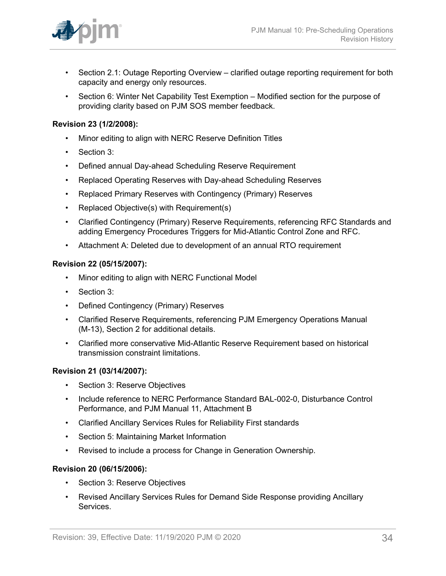

- Section 2.1: Outage Reporting Overview clarified outage reporting requirement for both capacity and energy only resources.
- Section 6: Winter Net Capability Test Exemption Modified section for the purpose of providing clarity based on PJM SOS member feedback.

### **Revision 23 (1/2/2008):**

- Minor editing to align with NERC Reserve Definition Titles
- Section 3:
- Defined annual Day-ahead Scheduling Reserve Requirement
- Replaced Operating Reserves with Day-ahead Scheduling Reserves
- Replaced Primary Reserves with Contingency (Primary) Reserves
- Replaced Objective(s) with Requirement(s)
- Clarified Contingency (Primary) Reserve Requirements, referencing RFC Standards and adding Emergency Procedures Triggers for Mid-Atlantic Control Zone and RFC.
- Attachment A: Deleted due to development of an annual RTO requirement

### **Revision 22 (05/15/2007):**

- Minor editing to align with NERC Functional Model
- Section 3:
- Defined Contingency (Primary) Reserves
- Clarified Reserve Requirements, referencing PJM Emergency Operations Manual (M-13), Section 2 for additional details.
- Clarified more conservative Mid-Atlantic Reserve Requirement based on historical transmission constraint limitations.

### **Revision 21 (03/14/2007):**

- Section 3: Reserve Objectives
- Include reference to NERC Performance Standard BAL-002-0, Disturbance Control Performance, and PJM Manual 11, Attachment B
- Clarified Ancillary Services Rules for Reliability First standards
- Section 5: Maintaining Market Information
- Revised to include a process for Change in Generation Ownership.

#### **Revision 20 (06/15/2006):**

- Section 3: Reserve Objectives
- Revised Ancillary Services Rules for Demand Side Response providing Ancillary Services.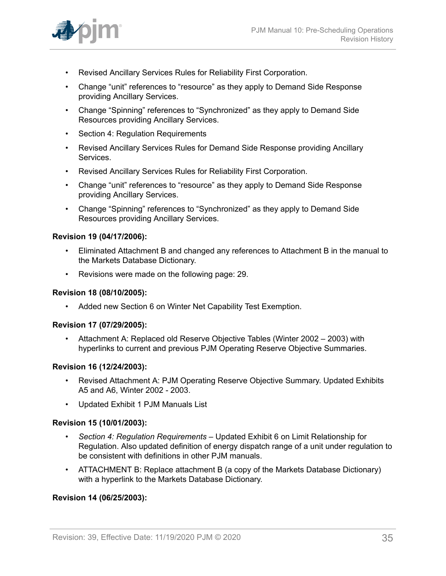

- Revised Ancillary Services Rules for Reliability First Corporation.
- Change "unit" references to "resource" as they apply to Demand Side Response providing Ancillary Services.
- Change "Spinning" references to "Synchronized" as they apply to Demand Side Resources providing Ancillary Services.
- Section 4: Regulation Requirements
- Revised Ancillary Services Rules for Demand Side Response providing Ancillary Services.
- Revised Ancillary Services Rules for Reliability First Corporation.
- Change "unit" references to "resource" as they apply to Demand Side Response providing Ancillary Services.
- Change "Spinning" references to "Synchronized" as they apply to Demand Side Resources providing Ancillary Services.

### **Revision 19 (04/17/2006):**

- Eliminated Attachment B and changed any references to Attachment B in the manual to the Markets Database Dictionary.
- Revisions were made on the following page: 29.

#### **Revision 18 (08/10/2005):**

• Added new Section 6 on Winter Net Capability Test Exemption.

#### **Revision 17 (07/29/2005):**

• Attachment A: Replaced old Reserve Objective Tables (Winter 2002 – 2003) with hyperlinks to current and previous PJM Operating Reserve Objective Summaries.

#### **Revision 16 (12/24/2003):**

- Revised Attachment A: PJM Operating Reserve Objective Summary. Updated Exhibits A5 and A6, Winter 2002 - 2003.
- Updated Exhibit 1 PJM Manuals List

#### **Revision 15 (10/01/2003):**

- *Section 4: Regulation Requirements –* Updated Exhibit 6 on Limit Relationship for Regulation. Also updated definition of energy dispatch range of a unit under regulation to be consistent with definitions in other PJM manuals.
- ATTACHMENT B: Replace attachment B (a copy of the Markets Database Dictionary) with a hyperlink to the Markets Database Dictionary.

### **Revision 14 (06/25/2003):**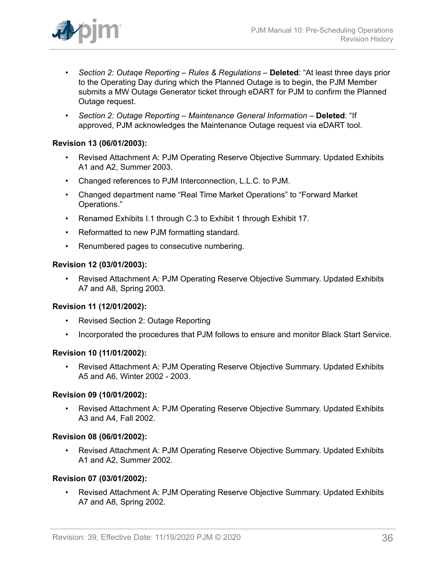

- *Section 2: Outaqe Reporting Rules & Regulations –* **Deleted**: "At least three days prior to the Operating Day during which the Planned Outage is to begin, the PJM Member submits a MW Outage Generator ticket through eDART for PJM to confirm the Planned Outage request.
- *Section 2: Outage Reporting Maintenance General Information* **Deleted**: "If approved, PJM acknowledges the Maintenance Outage request via eDART tool.

### **Revision 13 (06/01/2003):**

- Revised Attachment A: PJM Operating Reserve Objective Summary. Updated Exhibits A1 and A2, Summer 2003.
- Changed references to PJM Interconnection, L.L.C. to PJM.
- Changed department name "Real Time Market Operations" to "Forward Market Operations."
- Renamed Exhibits I.1 through C.3 to Exhibit 1 through Exhibit 17.
- Reformatted to new PJM formatting standard.
- Renumbered pages to consecutive numbering.

### **Revision 12 (03/01/2003):**

• Revised Attachment A: PJM Operating Reserve Objective Summary. Updated Exhibits A7 and A8, Spring 2003.

### **Revision 11 (12/01/2002):**

- Revised Section 2: Outage Reporting
- Incorporated the procedures that PJM follows to ensure and monitor Black Start Service.

### **Revision 10 (11/01/2002):**

• Revised Attachment A: PJM Operating Reserve Objective Summary. Updated Exhibits A5 and A6, Winter 2002 - 2003.

### **Revision 09 (10/01/2002):**

• Revised Attachment A: PJM Operating Reserve Objective Summary. Updated Exhibits A3 and A4, Fall 2002.

### **Revision 08 (06/01/2002):**

• Revised Attachment A: PJM Operating Reserve Objective Summary. Updated Exhibits A1 and A2, Summer 2002.

### **Revision 07 (03/01/2002):**

• Revised Attachment A: PJM Operating Reserve Objective Summary. Updated Exhibits A7 and A8, Spring 2002.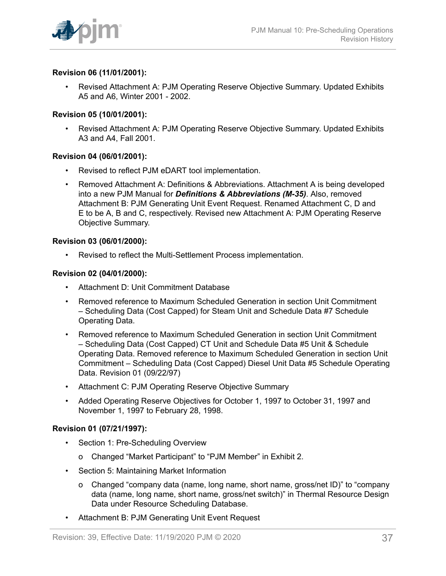

### **Revision 06 (11/01/2001):**

• Revised Attachment A: PJM Operating Reserve Objective Summary. Updated Exhibits A5 and A6, Winter 2001 - 2002.

### **Revision 05 (10/01/2001):**

• Revised Attachment A: PJM Operating Reserve Objective Summary. Updated Exhibits A3 and A4, Fall 2001.

### **Revision 04 (06/01/2001):**

- Revised to reflect PJM eDART tool implementation.
- Removed Attachment A: Definitions & Abbreviations. Attachment A is being developed into a new PJM Manual for *Definitions & Abbreviations (M-35)*. Also, removed Attachment B: PJM Generating Unit Event Request. Renamed Attachment C, D and E to be A, B and C, respectively. Revised new Attachment A: PJM Operating Reserve Objective Summary.

### **Revision 03 (06/01/2000):**

• Revised to reflect the Multi-Settlement Process implementation.

#### **Revision 02 (04/01/2000):**

- Attachment D: Unit Commitment Database
- Removed reference to Maximum Scheduled Generation in section Unit Commitment – Scheduling Data (Cost Capped) for Steam Unit and Schedule Data #7 Schedule Operating Data.
- Removed reference to Maximum Scheduled Generation in section Unit Commitment – Scheduling Data (Cost Capped) CT Unit and Schedule Data #5 Unit & Schedule Operating Data. Removed reference to Maximum Scheduled Generation in section Unit Commitment – Scheduling Data (Cost Capped) Diesel Unit Data #5 Schedule Operating Data. Revision 01 (09/22/97)
- Attachment C: PJM Operating Reserve Objective Summary
- Added Operating Reserve Objectives for October 1, 1997 to October 31, 1997 and November 1, 1997 to February 28, 1998.

#### **Revision 01 (07/21/1997):**

- Section 1: Pre-Scheduling Overview
	- o Changed "Market Participant" to "PJM Member" in Exhibit 2.
- Section 5: Maintaining Market Information
	- o Changed "company data (name, long name, short name, gross/net ID)" to "company data (name, long name, short name, gross/net switch)" in Thermal Resource Design Data under Resource Scheduling Database.
- Attachment B: PJM Generating Unit Event Request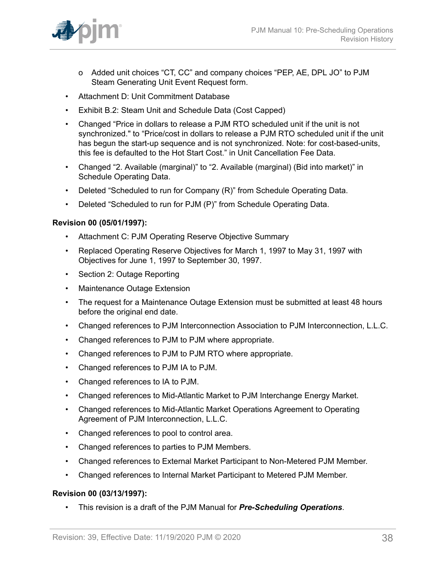

- o Added unit choices "CT, CC" and company choices "PEP, AE, DPL JO" to PJM Steam Generating Unit Event Request form.
- Attachment D: Unit Commitment Database
- Exhibit B.2: Steam Unit and Schedule Data (Cost Capped)
- Changed "Price in dollars to release a PJM RTO scheduled unit if the unit is not synchronized." to "Price/cost in dollars to release a PJM RTO scheduled unit if the unit has begun the start-up sequence and is not synchronized. Note: for cost-based-units, this fee is defaulted to the Hot Start Cost." in Unit Cancellation Fee Data.
- Changed "2. Available (marginal)" to "2. Available (marginal) (Bid into market)" in Schedule Operating Data.
- Deleted "Scheduled to run for Company (R)" from Schedule Operating Data.
- Deleted "Scheduled to run for PJM (P)" from Schedule Operating Data.

### **Revision 00 (05/01/1997):**

- Attachment C: PJM Operating Reserve Objective Summary
- Replaced Operating Reserve Objectives for March 1, 1997 to May 31, 1997 with Objectives for June 1, 1997 to September 30, 1997.
- Section 2: Outage Reporting
- Maintenance Outage Extension
- The request for a Maintenance Outage Extension must be submitted at least 48 hours before the original end date.
- Changed references to PJM Interconnection Association to PJM Interconnection, L.L.C.
- Changed references to PJM to PJM where appropriate.
- Changed references to PJM to PJM RTO where appropriate.
- Changed references to PJM IA to PJM.
- Changed references to IA to PJM.
- Changed references to Mid-Atlantic Market to PJM Interchange Energy Market.
- Changed references to Mid-Atlantic Market Operations Agreement to Operating Agreement of PJM Interconnection, L.L.C.
- Changed references to pool to control area.
- Changed references to parties to PJM Members.
- Changed references to External Market Participant to Non-Metered PJM Member.
- Changed references to Internal Market Participant to Metered PJM Member.

#### **Revision 00 (03/13/1997):**

• This revision is a draft of the PJM Manual for *Pre-Scheduling Operations*.